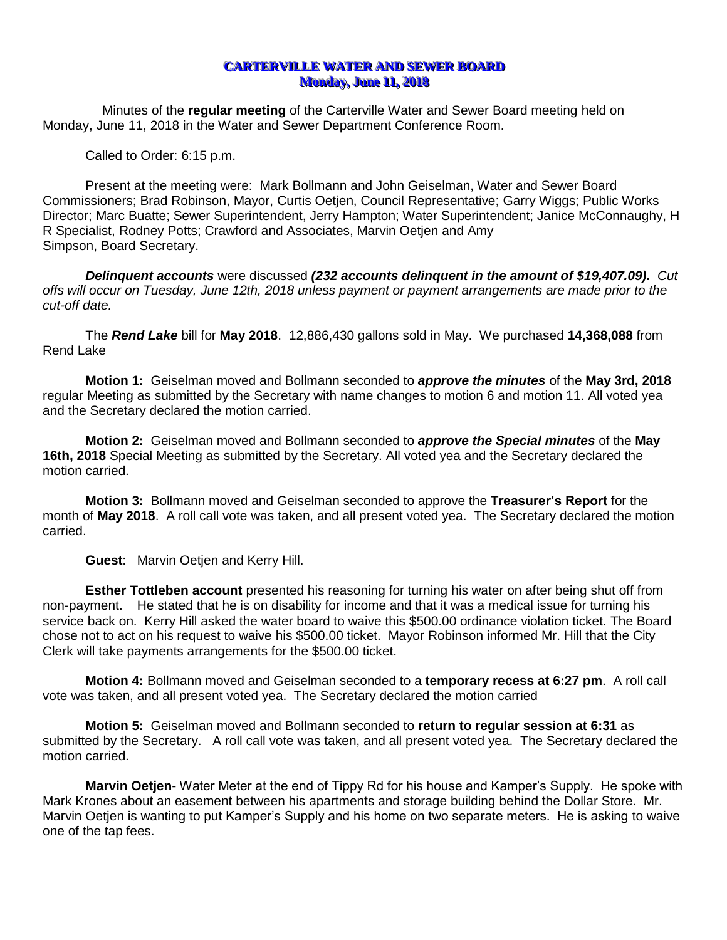# **CARTERVILLE WATER AND SEWER BOARD Monday, June 11, 2018**

Minutes of the **regular meeting** of the Carterville Water and Sewer Board meeting held on Monday, June 11, 2018 in the Water and Sewer Department Conference Room.

Called to Order: 6:15 p.m.

Present at the meeting were: Mark Bollmann and John Geiselman, Water and Sewer Board Commissioners; Brad Robinson, Mayor, Curtis Oetjen, Council Representative; Garry Wiggs; Public Works Director; Marc Buatte; Sewer Superintendent, Jerry Hampton; Water Superintendent; Janice McConnaughy, H R Specialist, Rodney Potts; Crawford and Associates, Marvin Oetjen and Amy Simpson, Board Secretary.

*Delinquent accounts* were discussed *(232 accounts delinquent in the amount of \$19,407.09). Cut offs will occur on Tuesday, June 12th, 2018 unless payment or payment arrangements are made prior to the cut-off date.*

The *Rend Lake* bill for **May 2018**. 12,886,430 gallons sold in May. We purchased **14,368,088** from Rend Lake

**Motion 1:** Geiselman moved and Bollmann seconded to *approve the minutes* of the **May 3rd, 2018**  regular Meeting as submitted by the Secretary with name changes to motion 6 and motion 11. All voted yea and the Secretary declared the motion carried.

**Motion 2:** Geiselman moved and Bollmann seconded to *approve the Special minutes* of the **May 16th, 2018** Special Meeting as submitted by the Secretary. All voted yea and the Secretary declared the motion carried.

**Motion 3:** Bollmann moved and Geiselman seconded to approve the **Treasurer's Report** for the month of **May 2018**. A roll call vote was taken, and all present voted yea. The Secretary declared the motion carried.

**Guest**: Marvin Oetjen and Kerry Hill.

**Esther Tottleben account** presented his reasoning for turning his water on after being shut off from non-payment. He stated that he is on disability for income and that it was a medical issue for turning his service back on. Kerry Hill asked the water board to waive this \$500.00 ordinance violation ticket. The Board chose not to act on his request to waive his \$500.00 ticket. Mayor Robinson informed Mr. Hill that the City Clerk will take payments arrangements for the \$500.00 ticket.

**Motion 4:** Bollmann moved and Geiselman seconded to a **temporary recess at 6:27 pm**. A roll call vote was taken, and all present voted yea. The Secretary declared the motion carried

**Motion 5:** Geiselman moved and Bollmann seconded to **return to regular session at 6:31** as submitted by the Secretary. A roll call vote was taken, and all present voted yea. The Secretary declared the motion carried.

**Marvin Oetjen**- Water Meter at the end of Tippy Rd for his house and Kamper's Supply. He spoke with Mark Krones about an easement between his apartments and storage building behind the Dollar Store. Mr. Marvin Oetjen is wanting to put Kamper's Supply and his home on two separate meters. He is asking to waive one of the tap fees.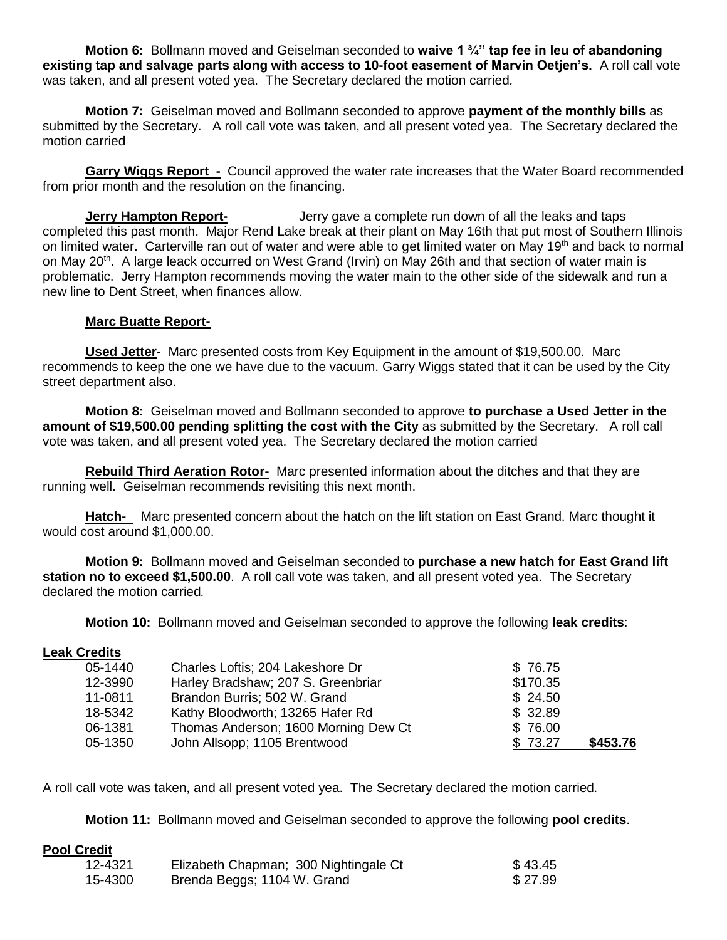**Motion 6:** Bollmann moved and Geiselman seconded to **waive 1 ¾" tap fee in leu of abandoning existing tap and salvage parts along with access to 10-foot easement of Marvin Oetjen's.** A roll call vote was taken, and all present voted yea. The Secretary declared the motion carried*.*

**Motion 7:** Geiselman moved and Bollmann seconded to approve **payment of the monthly bills** as submitted by the Secretary. A roll call vote was taken, and all present voted yea. The Secretary declared the motion carried

**Garry Wiggs Report -** Council approved the water rate increases that the Water Board recommended from prior month and the resolution on the financing.

**Jerry Hampton Report-** Jerry gave a complete run down of all the leaks and taps completed this past month. Major Rend Lake break at their plant on May 16th that put most of Southern Illinois on limited water. Carterville ran out of water and were able to get limited water on May 19<sup>th</sup> and back to normal on May 20<sup>th</sup>. A large leack occurred on West Grand (Irvin) on May 26th and that section of water main is problematic. Jerry Hampton recommends moving the water main to the other side of the sidewalk and run a new line to Dent Street, when finances allow.

## **Marc Buatte Report-**

**Used Jetter**- Marc presented costs from Key Equipment in the amount of \$19,500.00. Marc recommends to keep the one we have due to the vacuum. Garry Wiggs stated that it can be used by the City street department also.

**Motion 8:** Geiselman moved and Bollmann seconded to approve **to purchase a Used Jetter in the amount of \$19,500.00 pending splitting the cost with the City** as submitted by the Secretary. A roll call vote was taken, and all present voted yea. The Secretary declared the motion carried

**Rebuild Third Aeration Rotor-** Marc presented information about the ditches and that they are running well. Geiselman recommends revisiting this next month.

**Hatch-** Marc presented concern about the hatch on the lift station on East Grand. Marc thought it would cost around \$1,000.00.

**Motion 9:** Bollmann moved and Geiselman seconded to **purchase a new hatch for East Grand lift station no to exceed \$1,500.00**. A roll call vote was taken, and all present voted yea. The Secretary declared the motion carried*.*

**Motion 10:** Bollmann moved and Geiselman seconded to approve the following **leak credits**:

# **Leak Credits**

| 05-1440 | Charles Loftis; 204 Lakeshore Dr     | \$76.75  |          |
|---------|--------------------------------------|----------|----------|
| 12-3990 | Harley Bradshaw; 207 S. Greenbriar   | \$170.35 |          |
| 11-0811 | Brandon Burris; 502 W. Grand         | \$24.50  |          |
| 18-5342 | Kathy Bloodworth; 13265 Hafer Rd     | \$32.89  |          |
| 06-1381 | Thomas Anderson; 1600 Morning Dew Ct | \$76.00  |          |
| 05-1350 | John Allsopp; 1105 Brentwood         | \$73.27  | \$453.76 |

A roll call vote was taken, and all present voted yea. The Secretary declared the motion carried*.*

**Motion 11:** Bollmann moved and Geiselman seconded to approve the following **pool credits**.

#### **Pool Credit**

| 12-4321 | Elizabeth Chapman; 300 Nightingale Ct | \$43.45 |
|---------|---------------------------------------|---------|
| 15-4300 | Brenda Beggs; 1104 W. Grand           | \$27.99 |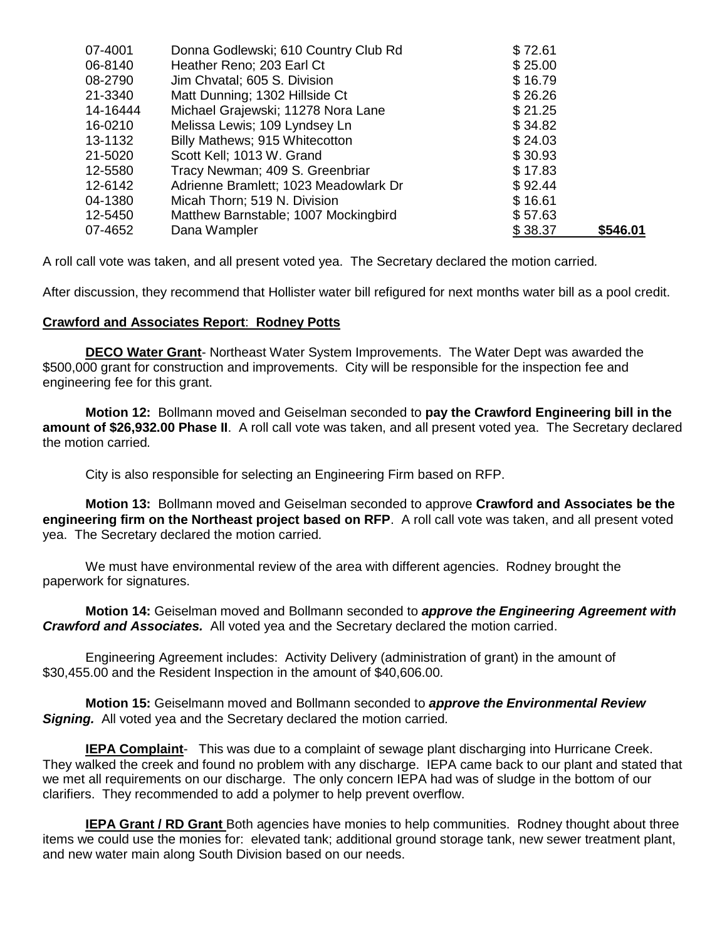| 07-4001  | Donna Godlewski; 610 Country Club Rd  | \$72.61 |          |
|----------|---------------------------------------|---------|----------|
| 06-8140  | Heather Reno; 203 Earl Ct             | \$25.00 |          |
| 08-2790  | Jim Chvatal; 605 S. Division          | \$16.79 |          |
| 21-3340  | Matt Dunning; 1302 Hillside Ct        | \$26.26 |          |
| 14-16444 | Michael Grajewski; 11278 Nora Lane    | \$21.25 |          |
| 16-0210  | Melissa Lewis; 109 Lyndsey Ln         | \$34.82 |          |
| 13-1132  | Billy Mathews; 915 Whitecotton        | \$24.03 |          |
| 21-5020  | Scott Kell; 1013 W. Grand             | \$30.93 |          |
| 12-5580  | Tracy Newman; 409 S. Greenbriar       | \$17.83 |          |
| 12-6142  | Adrienne Bramlett; 1023 Meadowlark Dr | \$92.44 |          |
| 04-1380  | Micah Thorn; 519 N. Division          | \$16.61 |          |
| 12-5450  | Matthew Barnstable; 1007 Mockingbird  | \$57.63 |          |
| 07-4652  | Dana Wampler                          | \$38.37 | \$546.01 |

A roll call vote was taken, and all present voted yea. The Secretary declared the motion carried*.*

After discussion, they recommend that Hollister water bill refigured for next months water bill as a pool credit.

## **Crawford and Associates Report**: **Rodney Potts**

**DECO Water Grant**- Northeast Water System Improvements. The Water Dept was awarded the \$500,000 grant for construction and improvements. City will be responsible for the inspection fee and engineering fee for this grant.

**Motion 12:** Bollmann moved and Geiselman seconded to **pay the Crawford Engineering bill in the amount of \$26,932.00 Phase II**. A roll call vote was taken, and all present voted yea. The Secretary declared the motion carried*.*

City is also responsible for selecting an Engineering Firm based on RFP.

**Motion 13:** Bollmann moved and Geiselman seconded to approve **Crawford and Associates be the engineering firm on the Northeast project based on RFP**. A roll call vote was taken, and all present voted yea. The Secretary declared the motion carried*.*

We must have environmental review of the area with different agencies. Rodney brought the paperwork for signatures.

**Motion 14:** Geiselman moved and Bollmann seconded to *approve the Engineering Agreement with Crawford and Associates.* All voted yea and the Secretary declared the motion carried.

Engineering Agreement includes: Activity Delivery (administration of grant) in the amount of \$30,455.00 and the Resident Inspection in the amount of \$40,606.00.

**Motion 15:** Geiselmann moved and Bollmann seconded to *approve the Environmental Review Signing.* All voted yea and the Secretary declared the motion carried*.*

**IEPA Complaint**- This was due to a complaint of sewage plant discharging into Hurricane Creek. They walked the creek and found no problem with any discharge. IEPA came back to our plant and stated that we met all requirements on our discharge. The only concern IEPA had was of sludge in the bottom of our clarifiers. They recommended to add a polymer to help prevent overflow.

**IEPA Grant / RD Grant** Both agencies have monies to help communities. Rodney thought about three items we could use the monies for: elevated tank; additional ground storage tank, new sewer treatment plant, and new water main along South Division based on our needs.